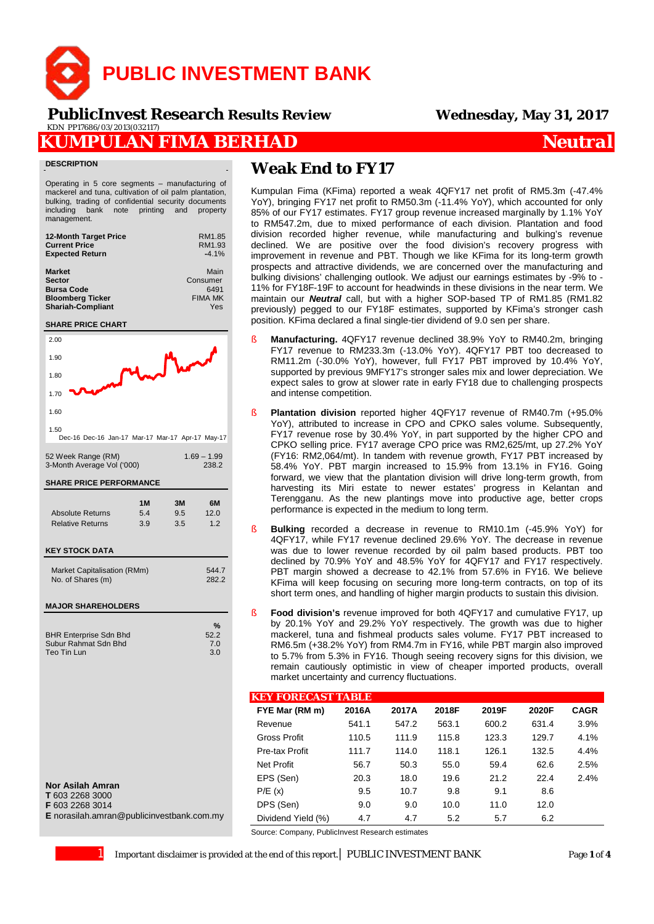

 **PublicInvest Research** *Results Review* **Wednesday, May 31, 2017**KDN PP17686/03/2013(032117)

## **KUMPULAN FIMA BERHAD** *Neutral*

#### **DESCRIPTION**

Operating in 5 core segments – manufacturing of mackerel and tuna, cultivation of oil palm plantation, bulking, trading of confidential security documents including bank note printing and property management.

| <b>12-Month Target Price</b> | RM1.85         |
|------------------------------|----------------|
| <b>Current Price</b>         | RM1.93         |
| <b>Expected Return</b>       | $-4.1%$        |
| <b>Market</b>                | Main           |
| <b>Sector</b>                | Consumer       |
| <b>Bursa Code</b>            | 6491           |
| <b>Bloomberg Ticker</b>      | <b>FIMA MK</b> |
| <b>Shariah-Compliant</b>     | Yes            |

#### **SHARE PRICE CHART**



#### **Nor Asilah Amran**

**T** 603 2268 3000

**F** 603 2268 3014

**E** norasilah.amran@publicinvestbank.com.my

# **Weak End to FY17**

Kumpulan Fima (KFima) reported a weak 4QFY17 net profit of RM5.3m (-47.4% YoY), bringing FY17 net profit to RM50.3m (-11.4% YoY), which accounted for only 85% of our FY17 estimates. FY17 group revenue increased marginally by 1.1% YoY to RM547.2m, due to mixed performance of each division. Plantation and food division recorded higher revenue, while manufacturing and bulking's revenue declined. We are positive over the food division's recovery progress with improvement in revenue and PBT. Though we like KFima for its long-term growth prospects and attractive dividends, we are concerned over the manufacturing and bulking divisions' challenging outlook. We adjust our earnings estimates by -9% to - 11% for FY18F-19F to account for headwinds in these divisions in the near term. We maintain our *Neutral* call, but with a higher SOP-based TP of RM1.85 (RM1.82 previously) pegged to our FY18F estimates, supported by KFima's stronger cash position. KFima declared a final single-tier dividend of 9.0 sen per share.

- § **Manufacturing.** 4QFY17 revenue declined 38.9% YoY to RM40.2m, bringing FY17 revenue to RM233.3m (-13.0% YoY). 4QFY17 PBT too decreased to RM11.2m (-30.0% YoY), however, full FY17 PBT improved by 10.4% YoY, supported by previous 9MFY17's stronger sales mix and lower depreciation. We expect sales to grow at slower rate in early FY18 due to challenging prospects and intense competition.
- § **Plantation division** reported higher 4QFY17 revenue of RM40.7m (+95.0% YoY), attributed to increase in CPO and CPKO sales volume. Subsequently, FY17 revenue rose by 30.4% YoY, in part supported by the higher CPO and CPKO selling price. FY17 average CPO price was RM2,625/mt, up 27.2% YoY (FY16: RM2,064/mt). In tandem with revenue growth, FY17 PBT increased by 58.4% YoY. PBT margin increased to 15.9% from 13.1% in FY16. Going forward, we view that the plantation division will drive long-term growth, from harvesting its Miri estate to newer estates' progress in Kelantan and Terengganu. As the new plantings move into productive age, better crops performance is expected in the medium to long term.
- § **Bulking** recorded a decrease in revenue to RM10.1m (-45.9% YoY) for 4QFY17, while FY17 revenue declined 29.6% YoY. The decrease in revenue was due to lower revenue recorded by oil palm based products. PBT too declined by 70.9% YoY and 48.5% YoY for 4QFY17 and FY17 respectively. PBT margin showed a decrease to 42.1% from 57.6% in FY16. We believe KFima will keep focusing on securing more long-term contracts, on top of its short term ones, and handling of higher margin products to sustain this division.
- § **Food division's** revenue improved for both 4QFY17 and cumulative FY17, up by 20.1% YoY and 29.2% YoY respectively. The growth was due to higher mackerel, tuna and fishmeal products sales volume. FY17 PBT increased to RM6.5m (+38.2% YoY) from RM4.7m in FY16, while PBT margin also improved to 5.7% from 5.3% in FY16. Though seeing recovery signs for this division, we remain cautiously optimistic in view of cheaper imported products, overall market uncertainty and currency fluctuations.

### **KEY FORECAST TABLE**

| FYE Mar (RM m)     | 2016A | 2017A | 2018F | 2019F | 2020F | <b>CAGR</b> |
|--------------------|-------|-------|-------|-------|-------|-------------|
| Revenue            | 541.1 | 547.2 | 563.1 | 600.2 | 631.4 | 3.9%        |
| Gross Profit       | 110.5 | 111.9 | 115.8 | 123.3 | 129.7 | 4.1%        |
| Pre-tax Profit     | 111.7 | 114.0 | 118.1 | 126.1 | 132.5 | 4.4%        |
| Net Profit         | 56.7  | 50.3  | 55.0  | 59.4  | 62.6  | 2.5%        |
| EPS (Sen)          | 20.3  | 18.0  | 19.6  | 21.2  | 22.4  | 2.4%        |
| P/E(x)             | 9.5   | 10.7  | 9.8   | 9.1   | 8.6   |             |
| DPS (Sen)          | 9.0   | 9.0   | 10.0  | 11.0  | 12.0  |             |
| Dividend Yield (%) | 4.7   | 4.7   | 5.2   | 5.7   | 6.2   |             |

Source: Company, PublicInvest Research estimates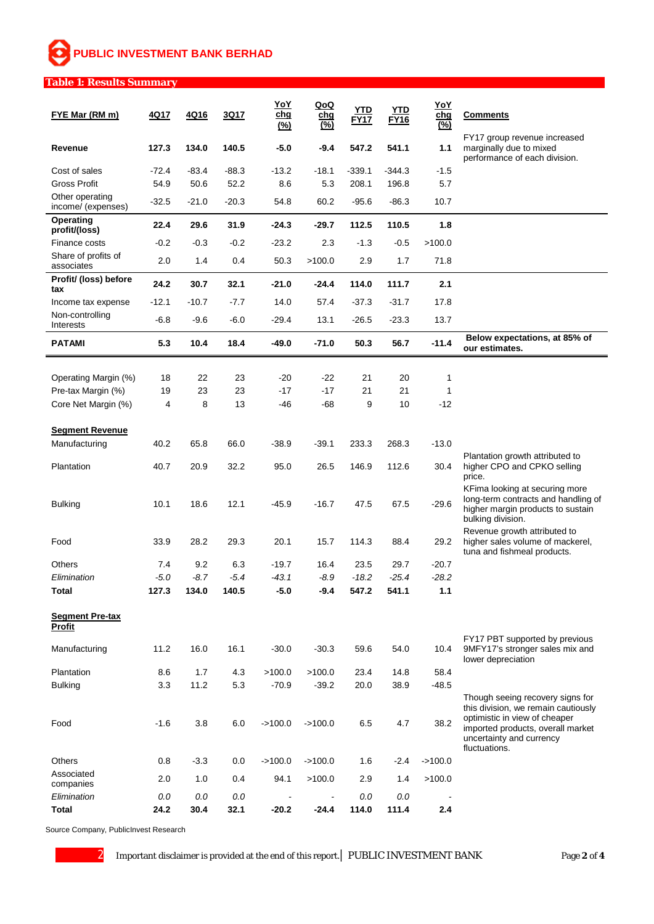# **PUBLIC INVESTMENT BANK BERHAD**

#### **Table 1: Results Summary**

| FYE Mar (RM m)                            | 4Q17     | 4Q16     | 3Q17     | <b>YoY</b><br><u>chg</u><br>(%) | QoQ<br>chg<br>$\overline{\left( \frac{\%}{\%}\right)}$ | YTD<br><b>FY17</b> | YTD<br><b>FY16</b> | YoY<br>chg<br>(%) | <b>Comments</b>                                                                                                                                        |
|-------------------------------------------|----------|----------|----------|---------------------------------|--------------------------------------------------------|--------------------|--------------------|-------------------|--------------------------------------------------------------------------------------------------------------------------------------------------------|
| Revenue                                   | 127.3    | 134.0    | 140.5    | -5.0                            | $-9.4$                                                 | 547.2              | 541.1              | 1.1               | FY17 group revenue increased<br>marginally due to mixed<br>performance of each division.                                                               |
| Cost of sales                             | $-72.4$  | $-83.4$  | $-88.3$  | $-13.2$                         | $-18.1$                                                | $-339.1$           | $-344.3$           | $-1.5$            |                                                                                                                                                        |
| <b>Gross Profit</b>                       | 54.9     | 50.6     | 52.2     | 8.6                             | 5.3                                                    | 208.1              | 196.8              | 5.7               |                                                                                                                                                        |
| Other operating<br>income/ (expenses)     | $-32.5$  | $-21.0$  | $-20.3$  | 54.8                            | 60.2                                                   | $-95.6$            | $-86.3$            | 10.7              |                                                                                                                                                        |
| Operating<br>profit/(loss)                | 22.4     | 29.6     | 31.9     | $-24.3$                         | $-29.7$                                                | 112.5              | 110.5              | 1.8               |                                                                                                                                                        |
| Finance costs                             | $-0.2$   | $-0.3$   | $-0.2$   | $-23.2$                         | 2.3                                                    | $-1.3$             | $-0.5$             | >100.0            |                                                                                                                                                        |
| Share of profits of<br>associates         | 2.0      | 1.4      | 0.4      | 50.3                            | >100.0                                                 | 2.9                | 1.7                | 71.8              |                                                                                                                                                        |
| Profit/ (loss) before<br>tax              | 24.2     | 30.7     | 32.1     | $-21.0$                         | -24.4                                                  | 114.0              | 111.7              | 2.1               |                                                                                                                                                        |
| Income tax expense                        | $-12.1$  | $-10.7$  | $-7.7$   | 14.0                            | 57.4                                                   | $-37.3$            | $-31.7$            | 17.8              |                                                                                                                                                        |
| Non-controlling<br>Interests              | $-6.8$   | $-9.6$   | $-6.0$   | $-29.4$                         | 13.1                                                   | $-26.5$            | $-23.3$            | 13.7              |                                                                                                                                                        |
| <b>PATAMI</b>                             | 5.3      | 10.4     | 18.4     | -49.0                           | -71.0                                                  | 50.3               | 56.7               | $-11.4$           | Below expectations, at 85% of<br>our estimates.                                                                                                        |
|                                           |          |          |          |                                 |                                                        |                    |                    |                   |                                                                                                                                                        |
| Operating Margin (%)                      | 18<br>19 | 22<br>23 | 23<br>23 | -20<br>-17                      | -22<br>$-17$                                           | 21<br>21           | 20<br>21           | 1<br>1            |                                                                                                                                                        |
| Pre-tax Margin (%)<br>Core Net Margin (%) | 4        | 8        | 13       | -46                             | -68                                                    | 9                  | 10                 | $-12$             |                                                                                                                                                        |
|                                           |          |          |          |                                 |                                                        |                    |                    |                   |                                                                                                                                                        |
| <b>Segment Revenue</b>                    |          |          |          |                                 |                                                        |                    |                    |                   |                                                                                                                                                        |
| Manufacturing                             | 40.2     | 65.8     | 66.0     | $-38.9$                         | $-39.1$                                                | 233.3              | 268.3              | $-13.0$           | Plantation growth attributed to                                                                                                                        |
| Plantation                                | 40.7     | 20.9     | 32.2     | 95.0                            | 26.5                                                   | 146.9              | 112.6              | 30.4              | higher CPO and CPKO selling<br>price.<br>KFima looking at securing more                                                                                |
| <b>Bulking</b>                            | 10.1     | 18.6     | 12.1     | $-45.9$                         | $-16.7$                                                | 47.5               | 67.5               | $-29.6$           | long-term contracts and handling of<br>higher margin products to sustain<br>bulking division.                                                          |
| Food                                      | 33.9     | 28.2     | 29.3     | 20.1                            | 15.7                                                   | 114.3              | 88.4               | 29.2              | Revenue growth attributed to<br>higher sales volume of mackerel,<br>tuna and fishmeal products.                                                        |
| Others                                    | 7.4      | 9.2      | 6.3      | $-19.7$                         | 16.4                                                   | 23.5               | 29.7               | $-20.7$           |                                                                                                                                                        |
| Elimination                               | $-5.0$   | $-8.7$   | $-5.4$   | $-43.1$                         | $-8.9$                                                 | $-18.2$            | $-25.4$            | $-28.2$           |                                                                                                                                                        |
| <b>Total</b>                              | 127.3    | 134.0    | 140.5    | $-5.0$                          | $-9.4$                                                 | 547.2              | 541.1              | 1.1               |                                                                                                                                                        |
| <b>Segment Pre-tax</b><br><b>Profit</b>   |          |          |          |                                 |                                                        |                    |                    |                   |                                                                                                                                                        |
| Manufacturing                             | 11.2     | 16.0     | 16.1     | $-30.0$                         | $-30.3$                                                | 59.6               | 54.0               | 10.4              | FY17 PBT supported by previous<br>9MFY17's stronger sales mix and<br>lower depreciation                                                                |
| Plantation                                | 8.6      | 1.7      | 4.3      | >100.0                          | >100.0                                                 | 23.4               | 14.8               | 58.4              |                                                                                                                                                        |
| <b>Bulking</b>                            | 3.3      | 11.2     | 5.3      | $-70.9$                         | $-39.2$                                                | 20.0               | 38.9               | $-48.5$           | Though seeing recovery signs for                                                                                                                       |
| Food                                      | $-1.6$   | 3.8      | 6.0      | $-100.0$                        | $-100.0$                                               | 6.5                | 4.7                | 38.2              | this division, we remain cautiously<br>optimistic in view of cheaper<br>imported products, overall market<br>uncertainty and currency<br>fluctuations. |
| Others                                    | 0.8      | $-3.3$   | 0.0      | $-100.0$                        | $-100.0$                                               | 1.6                | $-2.4$             | $-100.0$          |                                                                                                                                                        |
| Associated<br>companies                   | 2.0      | 1.0      | 0.4      | 94.1                            | >100.0                                                 | 2.9                | 1.4                | >100.0            |                                                                                                                                                        |
| Elimination                               | 0.0      | 0.0      | 0.0      |                                 |                                                        | 0.0                | 0.0                |                   |                                                                                                                                                        |
| <b>Total</b>                              | 24.2     | 30.4     | 32.1     | $-20.2$                         | $-24.4$                                                | 114.0              | 111.4              | 2.4               |                                                                                                                                                        |

Source Company, PublicInvest Research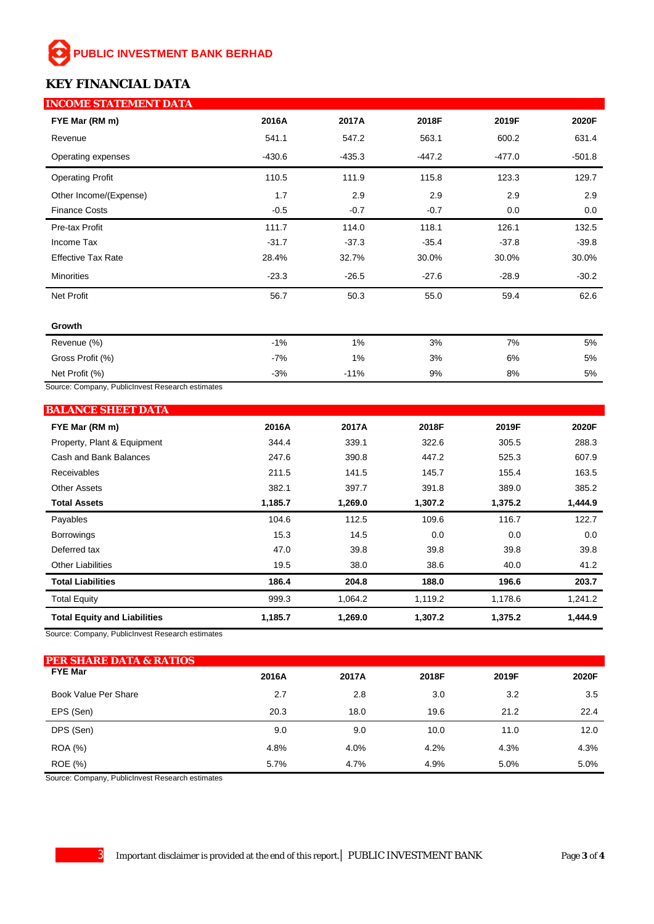# **PUBLIC INVESTMENT BANK BERHAD**

# **KEY FINANCIAL DATA**

| <b>INCOME STATEMENT DATA</b> |          |          |          |          |          |
|------------------------------|----------|----------|----------|----------|----------|
| FYE Mar (RM m)               | 2016A    | 2017A    | 2018F    | 2019F    | 2020F    |
| Revenue                      | 541.1    | 547.2    | 563.1    | 600.2    | 631.4    |
| Operating expenses           | $-430.6$ | $-435.3$ | $-447.2$ | $-477.0$ | $-501.8$ |
| <b>Operating Profit</b>      | 110.5    | 111.9    | 115.8    | 123.3    | 129.7    |
| Other Income/(Expense)       | 1.7      | 2.9      | 2.9      | 2.9      | 2.9      |
| <b>Finance Costs</b>         | $-0.5$   | $-0.7$   | $-0.7$   | 0.0      | 0.0      |
| Pre-tax Profit               | 111.7    | 114.0    | 118.1    | 126.1    | 132.5    |
| Income Tax                   | $-31.7$  | $-37.3$  | $-35.4$  | $-37.8$  | $-39.8$  |
| <b>Effective Tax Rate</b>    | 28.4%    | 32.7%    | 30.0%    | 30.0%    | 30.0%    |
| <b>Minorities</b>            | $-23.3$  | $-26.5$  | $-27.6$  | $-28.9$  | $-30.2$  |
| Net Profit                   | 56.7     | 50.3     | 55.0     | 59.4     | 62.6     |
| Growth                       |          |          |          |          |          |
| Revenue (%)                  | $-1%$    | 1%       | 3%       | 7%       | 5%       |
| Gross Profit (%)             | $-7%$    | 1%       | 3%       | 6%       | 5%       |
| Net Profit (%)               | $-3%$    | $-11%$   | 9%       | 8%       | 5%       |

Source: Company, PublicInvest Research estimates

| <b>BALANCE SHEET DATA</b>           |         |         |         |         |         |
|-------------------------------------|---------|---------|---------|---------|---------|
| FYE Mar (RM m)                      | 2016A   | 2017A   | 2018F   | 2019F   | 2020F   |
| Property, Plant & Equipment         | 344.4   | 339.1   | 322.6   | 305.5   | 288.3   |
| Cash and Bank Balances              | 247.6   | 390.8   | 447.2   | 525.3   | 607.9   |
| <b>Receivables</b>                  | 211.5   | 141.5   | 145.7   | 155.4   | 163.5   |
| <b>Other Assets</b>                 | 382.1   | 397.7   | 391.8   | 389.0   | 385.2   |
| <b>Total Assets</b>                 | 1,185.7 | 1,269.0 | 1,307.2 | 1,375.2 | 1,444.9 |
| Payables                            | 104.6   | 112.5   | 109.6   | 116.7   | 122.7   |
| <b>Borrowings</b>                   | 15.3    | 14.5    | 0.0     | 0.0     | 0.0     |
| Deferred tax                        | 47.0    | 39.8    | 39.8    | 39.8    | 39.8    |
| <b>Other Liabilities</b>            | 19.5    | 38.0    | 38.6    | 40.0    | 41.2    |
| <b>Total Liabilities</b>            | 186.4   | 204.8   | 188.0   | 196.6   | 203.7   |
| <b>Total Equity</b>                 | 999.3   | 1,064.2 | 1,119.2 | 1,178.6 | 1,241.2 |
| <b>Total Equity and Liabilities</b> | 1,185.7 | 1,269.0 | 1,307.2 | 1,375.2 | 1,444.9 |

Source: Company, PublicInvest Research estimates

| <b>PER SHARE DATA &amp; RATIOS</b> |       |       |       |       |       |
|------------------------------------|-------|-------|-------|-------|-------|
| <b>FYE Mar</b>                     | 2016A | 2017A | 2018F | 2019F | 2020F |
| Book Value Per Share               | 2.7   | 2.8   | 3.0   | 3.2   | 3.5   |
| EPS (Sen)                          | 20.3  | 18.0  | 19.6  | 21.2  | 22.4  |
| DPS (Sen)                          | 9.0   | 9.0   | 10.0  | 11.0  | 12.0  |
| <b>ROA</b> (%)                     | 4.8%  | 4.0%  | 4.2%  | 4.3%  | 4.3%  |
| ROE (%)                            | 5.7%  | 4.7%  | 4.9%  | 5.0%  | 5.0%  |

Source: Company, PublicInvest Research estimates